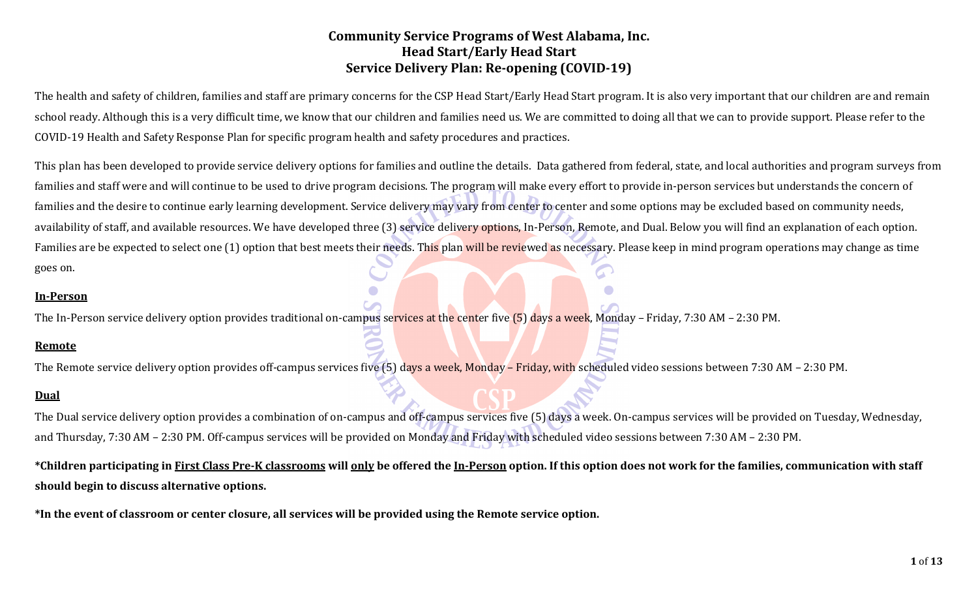The health and safety of children, families and staff are primary concerns for the CSP Head Start/Early Head Start program. It is also very important that our children are and remain school ready. Although this is a very difficult time, we know that our children and families need us. We are committed to doing all that we can to provide support. Please refer to the COVID-19 Health and Safety Response Plan for specific program health and safety procedures and practices.

This plan has been developed to provide service delivery options for families and outline the details. Data gathered from federal, state, and local authorities and program surveys from families and staff were and will continue to be used to drive program decisions. The program will make every effort to provide in-person services but understands the concern of families and the desire to continue early learning development. Service delivery may vary from center to center and some options may be excluded based on community needs, availability of staff, and available resources. We have developed three (3) service delivery options. In-Person, Remote, and Dual. Below you will find an explanation of each option. Families are be expected to select one (1) option that best meets their needs. This plan will be reviewed as necessary. Please keep in mind program operations may change as time goes on.

#### **In-Person**

The In-Person service delivery option provides traditional on-campus services at the center five (5) days a week, Monday – Friday, 7:30 AM – 2:30 PM.

#### **Remote**

The Remote service delivery option provides off-campus services five (5) days a week, Monday - Friday, with scheduled video sessions between 7:30 AM - 2:30 PM.

#### **Dual**

The Dual service delivery option provides a combination of on-campus and off-campus services five (5) days a week. On-campus services will be provided on Tuesday, Wednesday, and Thursday, 7:30 AM – 2:30 PM. Off-campus services will be provided on Monday and Friday with scheduled video sessions between 7:30 AM – 2:30 PM.

**\*Children participating in First Class Pre-K classrooms will only be offered the In-Person option. If this option does not work for the families, communication with staff should begin to discuss alternative options.** 

**\*In the event of classroom or center closure, all services will be provided using the Remote service option.**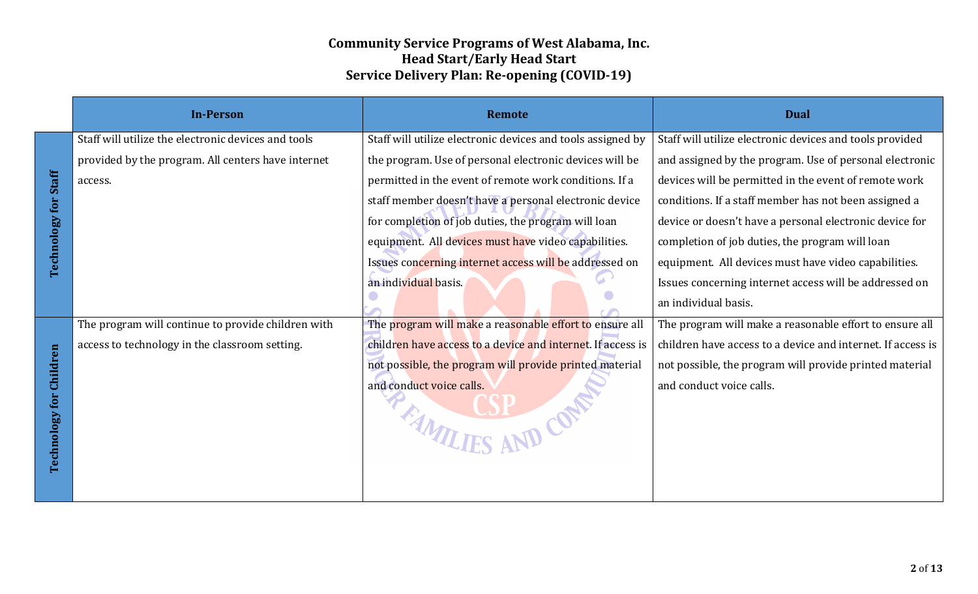|                                | <b>In-Person</b>                                    | <b>Remote</b>                                               | <b>Dual</b>                                                 |
|--------------------------------|-----------------------------------------------------|-------------------------------------------------------------|-------------------------------------------------------------|
|                                | Staff will utilize the electronic devices and tools | Staff will utilize electronic devices and tools assigned by | Staff will utilize electronic devices and tools provided    |
|                                | provided by the program. All centers have internet  | the program. Use of personal electronic devices will be     | and assigned by the program. Use of personal electronic     |
|                                | access.                                             | permitted in the event of remote work conditions. If a      | devices will be permitted in the event of remote work       |
|                                |                                                     | staff member doesn't have a personal electronic device      | conditions. If a staff member has not been assigned a       |
|                                |                                                     | for completion of job duties, the program will loan         | device or doesn't have a personal electronic device for     |
| <b>Technology for Staff</b>    |                                                     | equipment. All devices must have video capabilities.        | completion of job duties, the program will loan             |
|                                |                                                     | Issues concerning internet access will be addressed on      | equipment. All devices must have video capabilities.        |
|                                |                                                     | an individual basis.                                        | Issues concerning internet access will be addressed on      |
|                                |                                                     |                                                             | an individual basis.                                        |
|                                | The program will continue to provide children with  | The program will make a reasonable effort to ensure all     | The program will make a reasonable effort to ensure all     |
|                                | access to technology in the classroom setting.      | children have access to a device and internet. If access is | children have access to a device and internet. If access is |
|                                |                                                     | not possible, the program will provide printed material     | not possible, the program will provide printed material     |
|                                |                                                     | and conduct voice calls.                                    | and conduct voice calls.                                    |
|                                |                                                     |                                                             |                                                             |
| <b>Technology for Children</b> |                                                     | THAMILIES AND CONNE                                         |                                                             |
|                                |                                                     |                                                             |                                                             |
|                                |                                                     |                                                             |                                                             |
|                                |                                                     |                                                             |                                                             |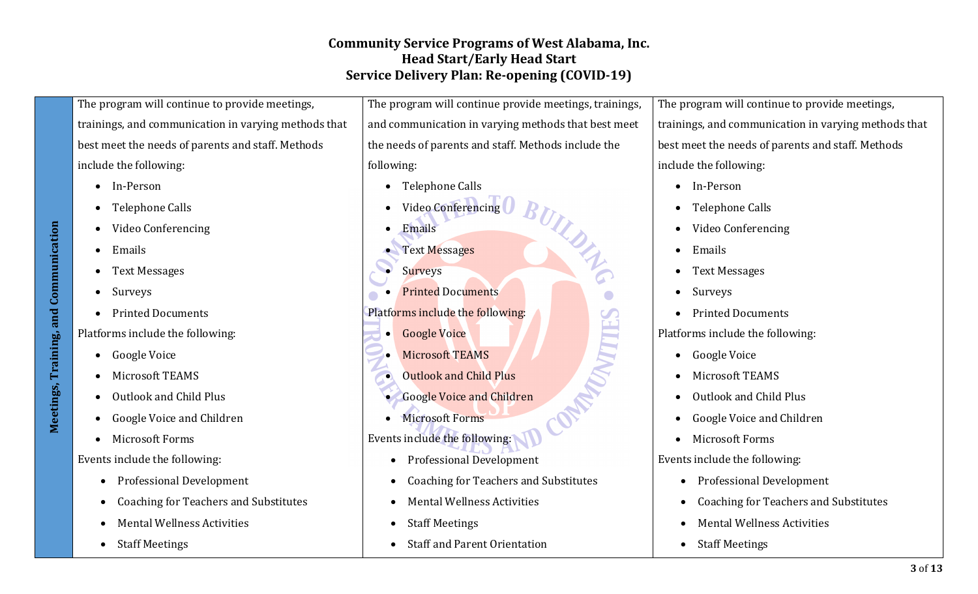**Meetings, Training, and Communication**  Meetings, Training, and Communication

The program will continue to provide meetings, trainings, and communication in varying methods that best meet the needs of parents and staff. Methods include the following:

- In-Person
- Telephone Calls
- Video Conferencing
- Emails
- Text Messages
- Surveys
- Printed Documents

Platforms include the following:

- Google Voice
- Microsoft TEAMS
- Outlook and Child Plus
- Google Voice and Children
- Microsoft Forms

Events include the following:

- Professional Development
- Coaching for Teachers and Substitutes
- Mental Wellness Activities
- Staff Meetings

The program will continue provide meetings, trainings, and communication in varying methods that best meet the needs of parents and staff. Methods include the following:

- Telephone Calls
- Video Conferencing
- Emails
- Text Messages
- **Surveys**
- Printed Documents
- Platforms include the following:
	- Google Voice
	- Microsoft TEAMS
	- Outlook and Child Plus
	- Google Voice and Children
	- Microsoft Forms
- Events include the following:
	- Professional Development
	- Coaching for Teachers and Substitutes
	- Mental Wellness Activities
	- Staff Meetings
	- Staff and Parent Orientation

The program will continue to provide meetings, trainings, and communication in varying methods that best meet the needs of parents and staff. Methods include the following:

- In-Person
- Telephone Calls
- Video Conferencing
- Emails
- Text Messages
- Surveys

NATTLE

• Printed Documents

Platforms include the following:

- Google Voice
- Microsoft TEAMS
- Outlook and Child Plus
- Google Voice and Children
- Microsoft Forms

Events include the following:

- Professional Development
- Coaching for Teachers and Substitutes
- Mental Wellness Activities
- Staff Meetings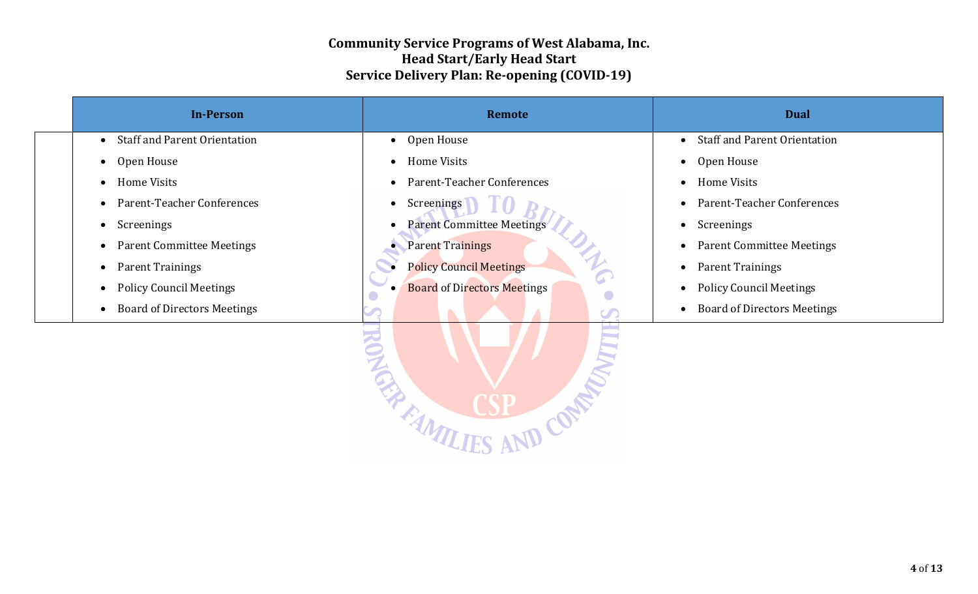| <b>In-Person</b>                                | Remote                             | <b>Dual</b>                                     |
|-------------------------------------------------|------------------------------------|-------------------------------------------------|
| <b>Staff and Parent Orientation</b>             | Open House                         | <b>Staff and Parent Orientation</b>             |
| $\bullet$                                       | $\bullet$                          | $\bullet$                                       |
| Open House                                      | Home Visits                        | Open House                                      |
| $\bullet$                                       | $\bullet$                          | $\bullet$                                       |
| Home Visits                                     | Parent-Teacher Conferences         | <b>Home Visits</b>                              |
| $\bullet$                                       | $\bullet$                          | $\bullet$                                       |
| Parent-Teacher Conferences                      | Screenings                         | Parent-Teacher Conferences                      |
| $\bullet$                                       | $\bullet$                          | $\bullet$                                       |
| Screenings                                      | <b>Parent Committee Meetings</b>   | Screenings                                      |
| $\bullet$                                       | $\bullet$                          | $\bullet$                                       |
| <b>Parent Committee Meetings</b>                | <b>Parent Trainings</b>            | <b>Parent Committee Meetings</b>                |
| $\bullet$                                       | $\bullet$                          | $\bullet$                                       |
| <b>Parent Trainings</b><br>$\bullet$            | <b>Policy Council Meetings</b>     | <b>Parent Trainings</b><br>$\bullet$            |
| <b>Policy Council Meetings</b>                  | <b>Board of Directors Meetings</b> | <b>Policy Council Meetings</b>                  |
| $\bullet$                                       | $\bullet$                          | $\bullet$                                       |
| <b>Board of Directors Meetings</b><br>$\bullet$ | $\bullet$                          | <b>Board of Directors Meetings</b><br>$\bullet$ |
|                                                 | <b>MONOWAY</b><br><b>OPPER A</b>   |                                                 |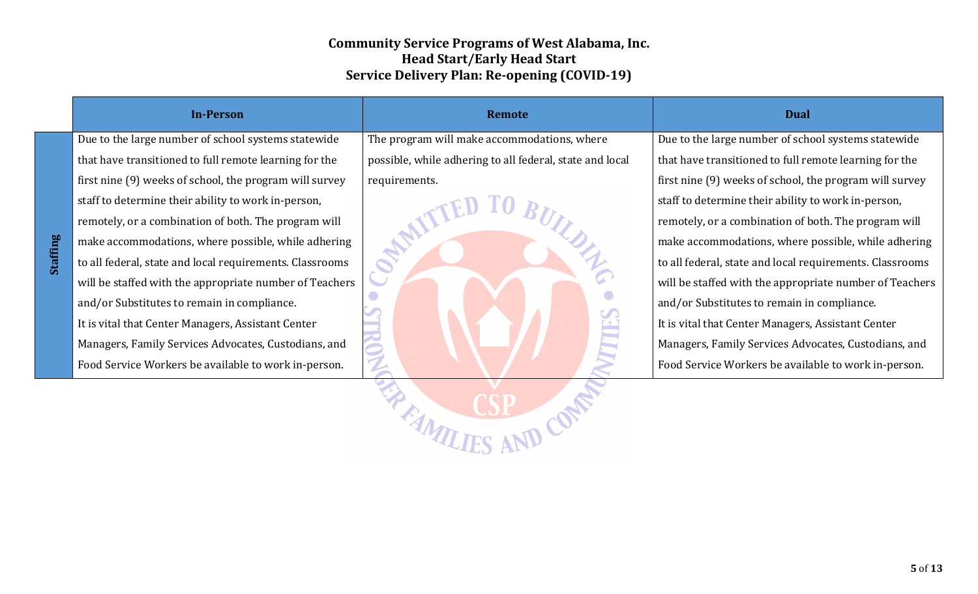|          | <b>In-Person</b>                                         | <b>Remote</b>                                            | <b>Dual</b>                                              |
|----------|----------------------------------------------------------|----------------------------------------------------------|----------------------------------------------------------|
|          | Due to the large number of school systems statewide      | The program will make accommodations, where              | Due to the large number of school systems statewide      |
|          | that have transitioned to full remote learning for the   | possible, while adhering to all federal, state and local | that have transitioned to full remote learning for the   |
|          | first nine (9) weeks of school, the program will survey  | requirements.                                            | first nine (9) weeks of school, the program will survey  |
|          | staff to determine their ability to work in-person,      |                                                          | staff to determine their ability to work in-person,      |
|          | remotely, or a combination of both. The program will     |                                                          | remotely, or a combination of both. The program will     |
|          | make accommodations, where possible, while adhering      |                                                          | make accommodations, where possible, while adhering      |
| Staffing | to all federal, state and local requirements. Classrooms |                                                          | to all federal, state and local requirements. Classrooms |
|          | will be staffed with the appropriate number of Teachers  |                                                          | will be staffed with the appropriate number of Teachers  |
|          | and/or Substitutes to remain in compliance.              |                                                          | and/or Substitutes to remain in compliance.              |
|          | It is vital that Center Managers, Assistant Center       |                                                          | It is vital that Center Managers, Assistant Center       |
|          | Managers, Family Services Advocates, Custodians, and     |                                                          | Managers, Family Services Advocates, Custodians, and     |
|          | Food Service Workers be available to work in-person.     |                                                          | Food Service Workers be available to work in-person.     |
|          |                                                          |                                                          |                                                          |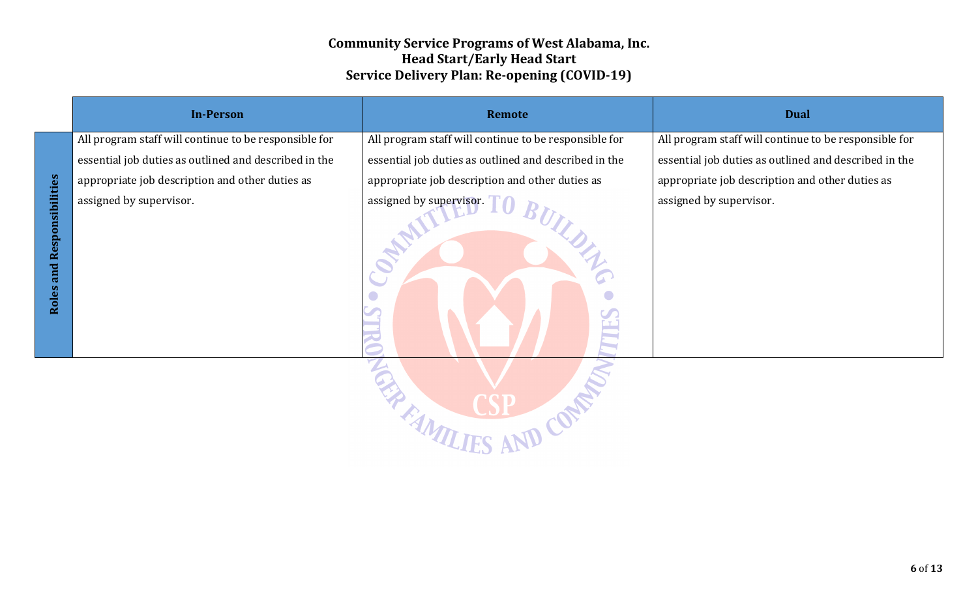| <b>In-Person</b>                                      | Remote                                                | <b>Dual</b>                                           |
|-------------------------------------------------------|-------------------------------------------------------|-------------------------------------------------------|
| All program staff will continue to be responsible for | All program staff will continue to be responsible for | All program staff will continue to be responsible for |
| essential job duties as outlined and described in the | essential job duties as outlined and described in the | essential job duties as outlined and described in the |
| appropriate job description and other duties as       | appropriate job description and other duties as       | appropriate job description and other duties as       |
| assigned by supervisor.                               | assigned by supervisor.                               | assigned by supervisor.                               |
|                                                       | C                                                     |                                                       |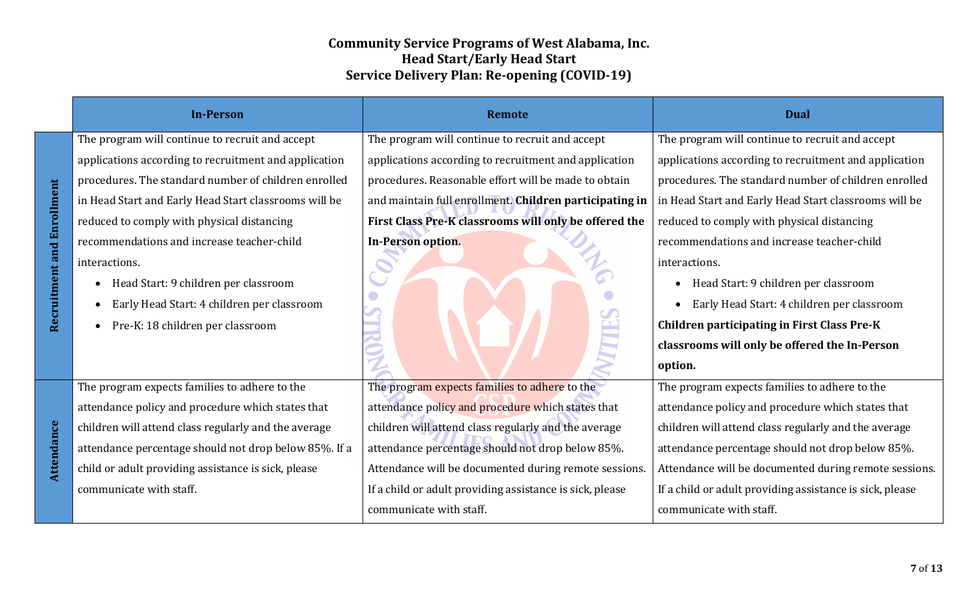| <b>In-Person</b>                                      | <b>Remote</b>                                            | <b>Dual</b>                                              |
|-------------------------------------------------------|----------------------------------------------------------|----------------------------------------------------------|
| The program will continue to recruit and accept       | The program will continue to recruit and accept          | The program will continue to recruit and accept          |
| applications according to recruitment and application | applications according to recruitment and application    | applications according to recruitment and application    |
| procedures. The standard number of children enrolled  | procedures. Reasonable effort will be made to obtain     | procedures. The standard number of children enrolled     |
| in Head Start and Early Head Start classrooms will be | and maintain full enrollment. Children participating in  | in Head Start and Early Head Start classrooms will be    |
| reduced to comply with physical distancing            | First Class Pre-K classrooms will only be offered the    | reduced to comply with physical distancing               |
| recommendations and increase teacher-child            | In-Person option.                                        | recommendations and increase teacher-child               |
| interactions.                                         |                                                          | interactions.                                            |
| Head Start: 9 children per classroom                  |                                                          | Head Start: 9 children per classroom                     |
| Early Head Start: 4 children per classroom            |                                                          | Early Head Start: 4 children per classroom               |
| Pre-K: 18 children per classroom                      |                                                          | <b>Children participating in First Class Pre-K</b>       |
|                                                       |                                                          | classrooms will only be offered the In-Person            |
|                                                       |                                                          | option.                                                  |
| The program expects families to adhere to the         | The program expects families to adhere to the            | The program expects families to adhere to the            |
| attendance policy and procedure which states that     | attendance policy and procedure which states that        | attendance policy and procedure which states that        |
| children will attend class regularly and the average  | children will attend class regularly and the average     | children will attend class regularly and the average     |
| attendance percentage should not drop below 85%. If a | attendance percentage should not drop below 85%.         | attendance percentage should not drop below 85%.         |
| child or adult providing assistance is sick, please   | Attendance will be documented during remote sessions.    | Attendance will be documented during remote sessions.    |
| communicate with staff.                               | If a child or adult providing assistance is sick, please | If a child or adult providing assistance is sick, please |
|                                                       | communicate with staff.                                  | communicate with staff.                                  |

**Recruitment and Enrollment**

Recruitment and Enrollment

**Attendance**

Attendance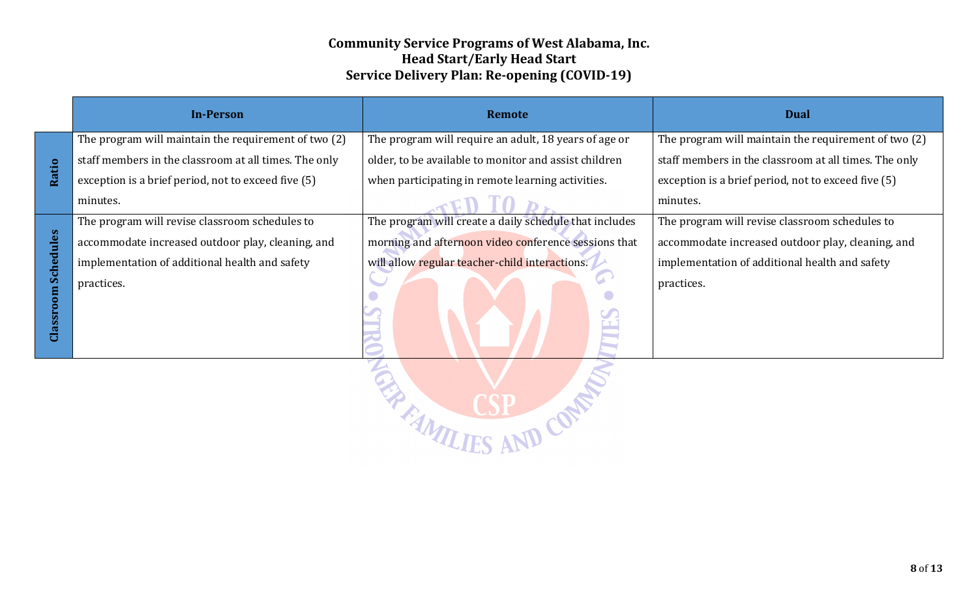|                     | <b>In-Person</b>                                      | <b>Remote</b>                                          | <b>Dual</b>                                           |
|---------------------|-------------------------------------------------------|--------------------------------------------------------|-------------------------------------------------------|
|                     | The program will maintain the requirement of two (2)  | The program will require an adult, 18 years of age or  | The program will maintain the requirement of two (2)  |
|                     | staff members in the classroom at all times. The only | older, to be available to monitor and assist children  | staff members in the classroom at all times. The only |
| Ratio               | exception is a brief period, not to exceed five (5)   | when participating in remote learning activities.      | exception is a brief period, not to exceed five (5)   |
|                     | minutes.                                              |                                                        | minutes.                                              |
|                     | The program will revise classroom schedules to        | The program will create a daily schedule that includes | The program will revise classroom schedules to        |
|                     | accommodate increased outdoor play, cleaning, and     | morning and afternoon video conference sessions that   | accommodate increased outdoor play, cleaning, and     |
|                     | implementation of additional health and safety        | will allow regular teacher-child interactions.         | implementation of additional health and safety        |
| Classroom Schedules | practices.                                            |                                                        | practices.                                            |
|                     |                                                       | MAI ITC AM COME                                        |                                                       |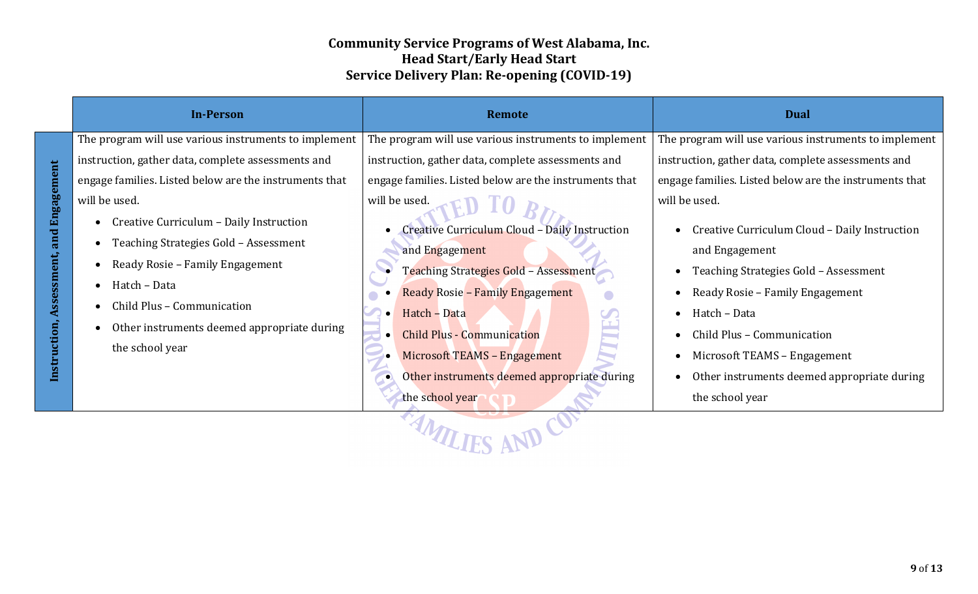| <b>In-Person</b>                                                                                                                                                                                                              | <b>Remote</b>                                                                                                                                                                                                        | <b>Dual</b>                                                                                                                                                                                                                      |
|-------------------------------------------------------------------------------------------------------------------------------------------------------------------------------------------------------------------------------|----------------------------------------------------------------------------------------------------------------------------------------------------------------------------------------------------------------------|----------------------------------------------------------------------------------------------------------------------------------------------------------------------------------------------------------------------------------|
| The program will use various instruments to implement                                                                                                                                                                         | The program will use various instruments to implement                                                                                                                                                                | The program will use various instruments to implement                                                                                                                                                                            |
| instruction, gather data, complete assessments and                                                                                                                                                                            | instruction, gather data, complete assessments and                                                                                                                                                                   | instruction, gather data, complete assessments and                                                                                                                                                                               |
| engage families. Listed below are the instruments that                                                                                                                                                                        | engage families. Listed below are the instruments that                                                                                                                                                               | engage families. Listed below are the instruments that                                                                                                                                                                           |
| will be used.                                                                                                                                                                                                                 | will be used.                                                                                                                                                                                                        | will be used.                                                                                                                                                                                                                    |
| Creative Curriculum - Daily Instruction<br>$\bullet$<br>Teaching Strategies Gold - Assessment<br>Ready Rosie - Family Engagement<br>Hatch - Data<br>Child Plus - Communication<br>Other instruments deemed appropriate during | Creative Curriculum Cloud - Daily Instruction<br>and Engagement<br>Teaching Strategies Gold - Assessment<br><b>Ready Rosie - Family Engagement</b><br>Hatch - Data<br>$\bullet$<br><b>Child Plus - Communication</b> | Creative Curriculum Cloud - Daily Instruction<br>and Engagement<br>Teaching Strategies Gold - Assessment<br>$\bullet$<br>Ready Rosie - Family Engagement<br>$\bullet$<br>Hatch - Data<br>$\bullet$<br>Child Plus - Communication |
| the school year                                                                                                                                                                                                               | Microsoft TEAMS - Engagement<br>Other instruments deemed appropriate during<br>$\bullet$<br>the school year                                                                                                          | Microsoft TEAMS - Engagement<br>٠<br>Other instruments deemed appropriate during<br>the school year                                                                                                                              |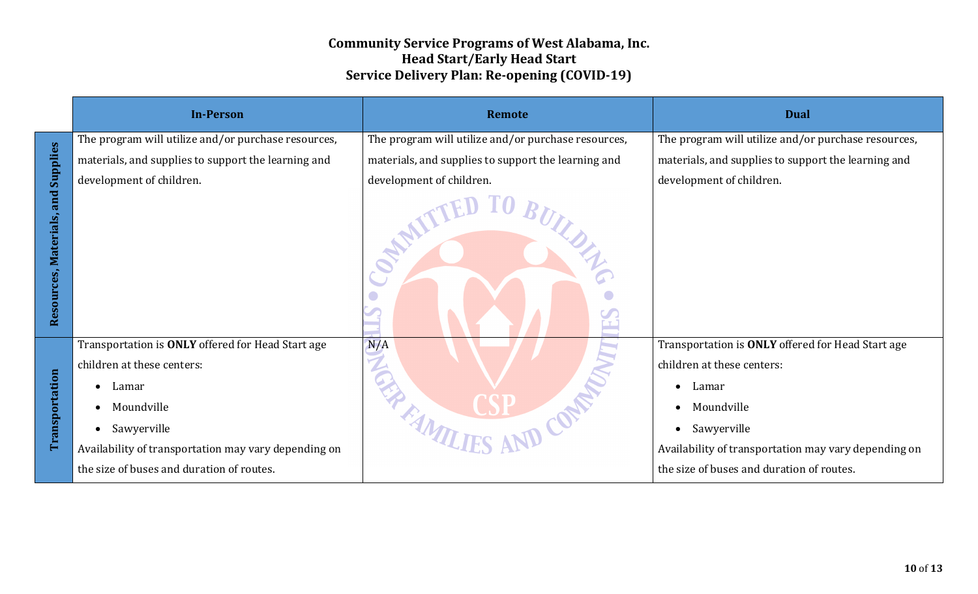|                                       | <b>In-Person</b>                                     | Remote                                              | <b>Dual</b>                                          |
|---------------------------------------|------------------------------------------------------|-----------------------------------------------------|------------------------------------------------------|
|                                       | The program will utilize and/or purchase resources,  | The program will utilize and/or purchase resources, | The program will utilize and/or purchase resources,  |
|                                       | materials, and supplies to support the learning and  | materials, and supplies to support the learning and | materials, and supplies to support the learning and  |
|                                       | development of children.                             | development of children.                            | development of children.                             |
| and Supplies<br>Resources, Materials, |                                                      |                                                     |                                                      |
|                                       | Transportation is ONLY offered for Head Start age    | N/A                                                 | Transportation is ONLY offered for Head Start age    |
|                                       | children at these centers:                           |                                                     | children at these centers:                           |
|                                       | Lamar<br>$\bullet$                                   |                                                     | Lamar                                                |
|                                       | Moundville                                           |                                                     | Moundville                                           |
| Transportation                        | Sawyerville                                          |                                                     | Sawyerville<br>$\bullet$                             |
|                                       | Availability of transportation may vary depending on | EN TANTLIES AND CON                                 | Availability of transportation may vary depending on |
|                                       | the size of buses and duration of routes.            |                                                     | the size of buses and duration of routes.            |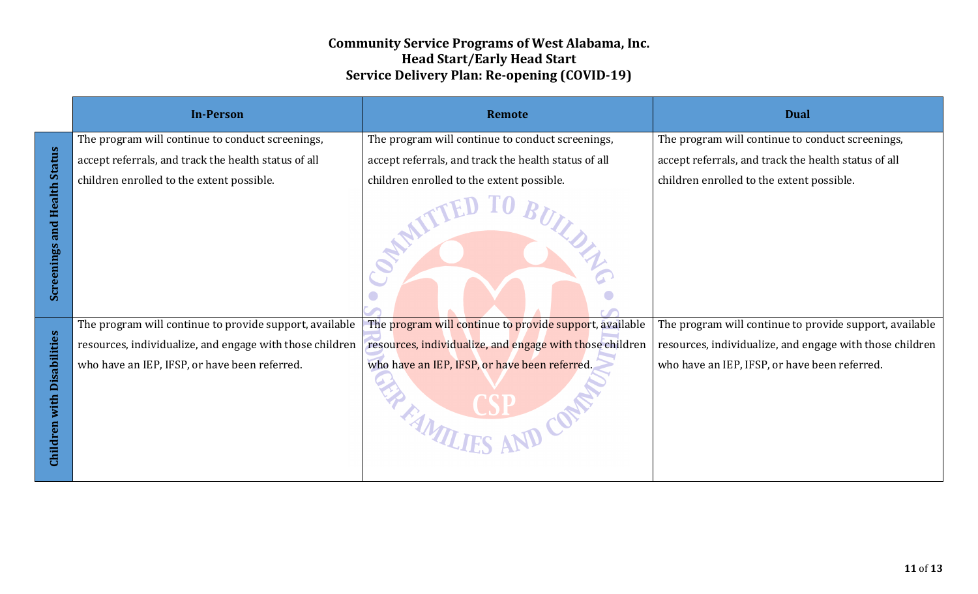|                                     | <b>In-Person</b>                                         | <b>Remote</b>                                                | <b>Dual</b>                                              |
|-------------------------------------|----------------------------------------------------------|--------------------------------------------------------------|----------------------------------------------------------|
|                                     | The program will continue to conduct screenings,         | The program will continue to conduct screenings,             | The program will continue to conduct screenings,         |
|                                     | accept referrals, and track the health status of all     | accept referrals, and track the health status of all         | accept referrals, and track the health status of all     |
|                                     | children enrolled to the extent possible.                | children enrolled to the extent possible.                    | children enrolled to the extent possible.                |
| <b>Screenings and Health Status</b> |                                                          |                                                              |                                                          |
|                                     | The program will continue to provide support, available  | The program will continue to provide support, available      | The program will continue to provide support, available  |
|                                     | resources, individualize, and engage with those children | resources, individualize, and engage with those children     | resources, individualize, and engage with those children |
| Children with Disabilities          | who have an IEP, IFSP, or have been referred.            | who have an IEP, IFSP, or have been referred.<br>MAILIFE  CO | who have an IEP, IFSP, or have been referred.            |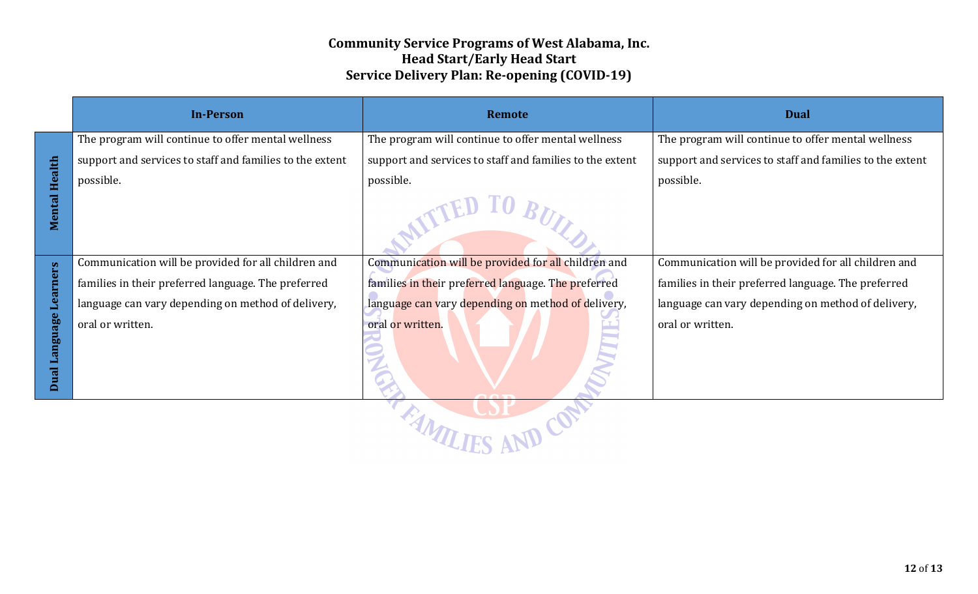|                      | <b>In-Person</b>                                         | <b>Remote</b>                                            | <b>Dual</b>                                              |  |
|----------------------|----------------------------------------------------------|----------------------------------------------------------|----------------------------------------------------------|--|
|                      | The program will continue to offer mental wellness       | The program will continue to offer mental wellness       | The program will continue to offer mental wellness       |  |
|                      | support and services to staff and families to the extent | support and services to staff and families to the extent | support and services to staff and families to the extent |  |
|                      | possible.                                                | possible.                                                | possible.                                                |  |
| <b>Mental Health</b> |                                                          |                                                          |                                                          |  |
|                      | Communication will be provided for all children and      | Communication will be provided for all children and      | Communication will be provided for all children and      |  |
| Learners             | families in their preferred language. The preferred      | families in their preferred language. The preferred      | families in their preferred language. The preferred      |  |
|                      | language can vary depending on method of delivery,       | language can vary depending on method of delivery,       | language can vary depending on method of delivery,       |  |
| Dual Language        | oral or written.                                         | oral or written.                                         | oral or written.                                         |  |
| $\frac{1}{\sqrt{2}}$ |                                                          |                                                          |                                                          |  |